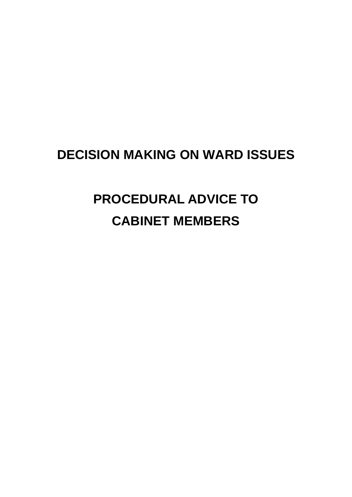## **DECISION MAKING ON WARD ISSUES**

# **PROCEDURAL ADVICE TO CABINET MEMBERS**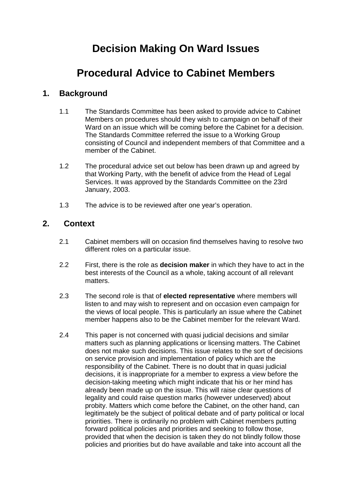## **Decision Making On Ward Issues**

## **Procedural Advice to Cabinet Members**

### **1. Background**

- 1.1 The Standards Committee has been asked to provide advice to Cabinet Members on procedures should they wish to campaign on behalf of their Ward on an issue which will be coming before the Cabinet for a decision. The Standards Committee referred the issue to a Working Group consisting of Council and independent members of that Committee and a member of the Cabinet.
- 1.2 The procedural advice set out below has been drawn up and agreed by that Working Party, with the benefit of advice from the Head of Legal Services. It was approved by the Standards Committee on the 23rd January, 2003.
- 1.3 The advice is to be reviewed after one year's operation.

#### **2. Context**

- 2.1 Cabinet members will on occasion find themselves having to resolve two different roles on a particular issue.
- 2.2 First, there is the role as **decision maker** in which they have to act in the best interests of the Council as a whole, taking account of all relevant matters.
- 2.3 The second role is that of **elected representative** where members will listen to and may wish to represent and on occasion even campaign for the views of local people. This is particularly an issue where the Cabinet member happens also to be the Cabinet member for the relevant Ward.
- 2.4 This paper is not concerned with quasi judicial decisions and similar matters such as planning applications or licensing matters. The Cabinet does not make such decisions. This issue relates to the sort of decisions on service provision and implementation of policy which are the responsibility of the Cabinet. There is no doubt that in quasi judicial decisions, it is inappropriate for a member to express a view before the decision-taking meeting which might indicate that his or her mind has already been made up on the issue. This will raise clear questions of legality and could raise question marks (however undeserved) about probity. Matters which come before the Cabinet, on the other hand, can legitimately be the subject of political debate and of party political or local priorities. There is ordinarily no problem with Cabinet members putting forward political policies and priorities and seeking to follow those, provided that when the decision is taken they do not blindly follow those policies and priorities but do have available and take into account all the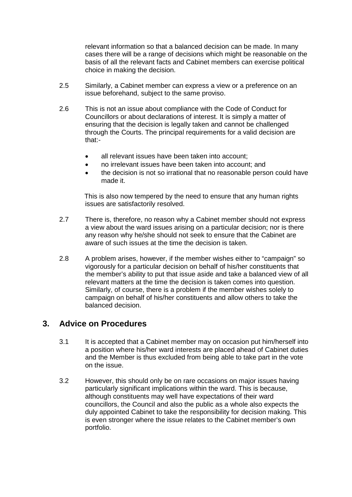relevant information so that a balanced decision can be made. In many cases there will be a range of decisions which might be reasonable on the basis of all the relevant facts and Cabinet members can exercise political choice in making the decision.

- 2.5 Similarly, a Cabinet member can express a view or a preference on an issue beforehand, subject to the same proviso.
- 2.6 This is not an issue about compliance with the Code of Conduct for Councillors or about declarations of interest. It is simply a matter of ensuring that the decision is legally taken and cannot be challenged through the Courts. The principal requirements for a valid decision are that:-
	- all relevant issues have been taken into account;
	- no irrelevant issues have been taken into account; and
	- the decision is not so irrational that no reasonable person could have made it.

This is also now tempered by the need to ensure that any human rights issues are satisfactorily resolved.

- 2.7 There is, therefore, no reason why a Cabinet member should not express a view about the ward issues arising on a particular decision; nor is there any reason why he/she should not seek to ensure that the Cabinet are aware of such issues at the time the decision is taken.
- 2.8 A problem arises, however, if the member wishes either to "campaign" so vigorously for a particular decision on behalf of his/her constituents that the member's ability to put that issue aside and take a balanced view of all relevant matters at the time the decision is taken comes into question. Similarly, of course, there is a problem if the member wishes solely to campaign on behalf of his/her constituents and allow others to take the balanced decision.

#### **3. Advice on Procedures**

- 3.1 It is accepted that a Cabinet member may on occasion put him/herself into a position where his/her ward interests are placed ahead of Cabinet duties and the Member is thus excluded from being able to take part in the vote on the issue.
- 3.2 However, this should only be on rare occasions on major issues having particularly significant implications within the ward. This is because, although constituents may well have expectations of their ward councillors, the Council and also the public as a whole also expects the duly appointed Cabinet to take the responsibility for decision making. This is even stronger where the issue relates to the Cabinet member's own portfolio.